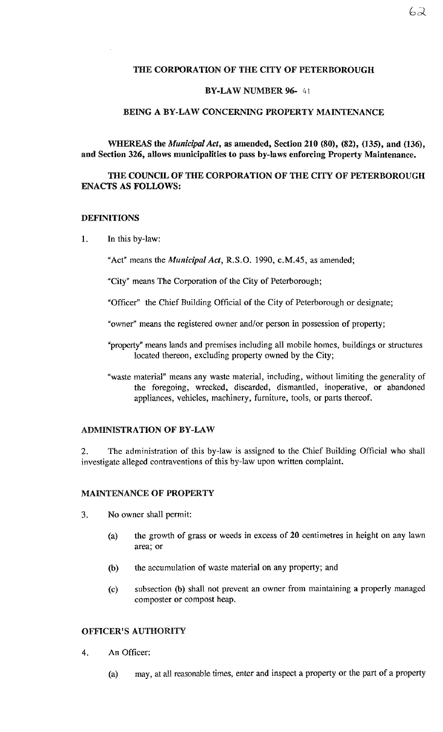### THE CORPORATION OF THE CITY OF PETERBOROUGH

### BY-LAW NUMBER 96- 41

#### BEING A BY-LAW CONCERNING PROPERTY MAINTENANCE

WHEREAS the *Municipal Act,* as amended, Section 210 (80), (82), (135), and (136), and Section 326, allows municipalities to pass by-laws enforcing Property Maintenance.

# THE COUNCIL OF THE CORPORATION OF THE CITY OF PETERBOROUGH ENACTS AS FOLLOWS:

#### DEFINITIONS

1. In this by-law:

"Act" means the *Municipal Act*, R.S.O. 1990, c.M.45, as amended;

"City" means The Corporation of the City of Peterborough;

"Officer" the Chief Building Official of the City of Peterborough or designate;

"owner" means the registered owner and/or person in possession of property;

- "property" means lands and premises including all mobile homes, buildings or structures located thereon, excluding property owned by the City;
- "waste material" means any waste material, including, without limiting the generality of the foregoing, wrecked, discarded, dismantled, inoperative, or abandoned appliances, vehicles, machinery, furniture, tools, or parts thereof.

### ADMINISTRATION OF BY-LAW

2. The administration of this by-law is assigned to the Chief Building Official who shall investigate alleged contraventions of this by-law upon written complaint.

### MAINTENANCE OF PROPERTY

- 3. No owner shall permit:
	- (a) the growth of grass or weeds in excess of 20 centimetres in height on any lawn area; or
	- (b) the accumulation of waste material on any property; and
	- (c) subsection (b) shall not prevent an owner from maintaining a properly managed composter or compost heap.

## OFFICER'S AUTHORITY

- 4. An Officer:
	- (a) may, at all reasonable times, enter and inspect a property or the part of a property